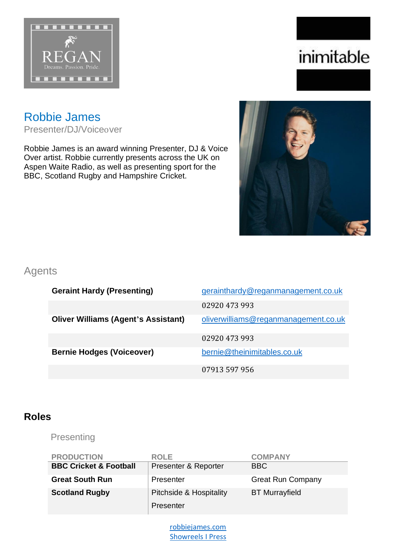

# inimitable

# Robbie James

Presenter/DJ/Voiceover

Robbie James is an award winning Presenter, DJ & Voice Over artist. Robbie currently presents across the UK on Aspen Waite Radio, as well as presenting sport for the BBC, Scotland Rugby and Hampshire Cricket.



#### Agents

| <b>Geraint Hardy (Presenting)</b>          | gerainthardy@reganmanagement.co.uk   |
|--------------------------------------------|--------------------------------------|
|                                            | 02920 473 993                        |
| <b>Oliver Williams (Agent's Assistant)</b> | oliverwilliams@reganmanagement.co.uk |
|                                            | 02920 473 993                        |
| <b>Bernie Hodges (Voiceover)</b>           | bernie@theinimitables.co.uk          |
|                                            | 07913 597 956                        |

### **Roles**

Presenting

| <b>PRODUCTION</b>                 | <b>ROLE</b>             | <b>COMPANY</b>           |
|-----------------------------------|-------------------------|--------------------------|
| <b>BBC Cricket &amp; Football</b> | Presenter & Reporter    | <b>BBC</b>               |
| <b>Great South Run</b>            | Presenter               | <b>Great Run Company</b> |
| <b>Scotland Rugby</b>             | Pitchside & Hospitality | <b>BT</b> Murrayfield    |
|                                   | Presenter               |                          |

[robbiejames.com](http://www.robbiejames.com/) [Showreels](http://www.robbiejames.com/showreels) I [Press](http://www.robbiejames.com/reviews)